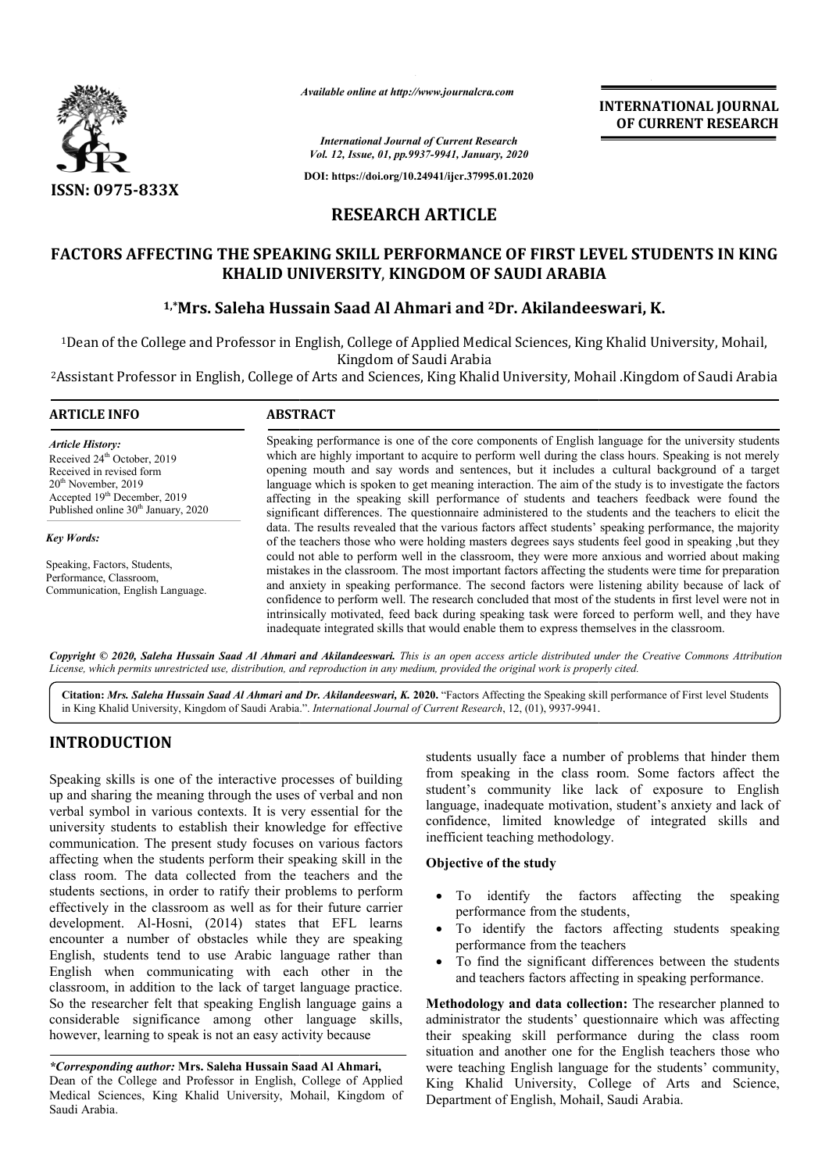

*Available online at http://www.journalcra.com*

# **RESEARCH ARTICLE**

# **FACTORS AFFECTING THE SPEAKING SKILL PERFORMANCE OF FIRST LEVEL STUDENTS IN KING FACTORS PERFORMANCE KHALID UNIVERSITY** , **KINGDOM OF SAUDI ARABIA**

# <sup>1,\*</sup>Mrs. Saleha Hussain Saad Al Ahmari and <sup>2</sup>Dr. Akilandeeswari, K.

|                                                                                                                                                                                                                                                                                                                                                                                                                                                                                                                                                                                                                                                                    |                                                                                                                                                                                                                                                                                                                                                                                                                                                                                                                                                                                                                                                                                                                                         | <b>INTERNATIONAL JOURNAL</b><br>OF CURRENT RESEARCH                                                                                                                                                                                                                                                                                                                                                                                                                                                                                                                                                                                                                                                                                        |
|--------------------------------------------------------------------------------------------------------------------------------------------------------------------------------------------------------------------------------------------------------------------------------------------------------------------------------------------------------------------------------------------------------------------------------------------------------------------------------------------------------------------------------------------------------------------------------------------------------------------------------------------------------------------|-----------------------------------------------------------------------------------------------------------------------------------------------------------------------------------------------------------------------------------------------------------------------------------------------------------------------------------------------------------------------------------------------------------------------------------------------------------------------------------------------------------------------------------------------------------------------------------------------------------------------------------------------------------------------------------------------------------------------------------------|--------------------------------------------------------------------------------------------------------------------------------------------------------------------------------------------------------------------------------------------------------------------------------------------------------------------------------------------------------------------------------------------------------------------------------------------------------------------------------------------------------------------------------------------------------------------------------------------------------------------------------------------------------------------------------------------------------------------------------------------|
|                                                                                                                                                                                                                                                                                                                                                                                                                                                                                                                                                                                                                                                                    |                                                                                                                                                                                                                                                                                                                                                                                                                                                                                                                                                                                                                                                                                                                                         | <b>International Journal of Current Research</b><br>Vol. 12, Issue, 01, pp.9937-9941, January, 2020                                                                                                                                                                                                                                                                                                                                                                                                                                                                                                                                                                                                                                        |
|                                                                                                                                                                                                                                                                                                                                                                                                                                                                                                                                                                                                                                                                    |                                                                                                                                                                                                                                                                                                                                                                                                                                                                                                                                                                                                                                                                                                                                         | DOI: https://doi.org/10.24941/ijcr.37995.01.2020                                                                                                                                                                                                                                                                                                                                                                                                                                                                                                                                                                                                                                                                                           |
| <b>ISSN: 0975-833X</b>                                                                                                                                                                                                                                                                                                                                                                                                                                                                                                                                                                                                                                             |                                                                                                                                                                                                                                                                                                                                                                                                                                                                                                                                                                                                                                                                                                                                         | <b>RESEARCH ARTICLE</b>                                                                                                                                                                                                                                                                                                                                                                                                                                                                                                                                                                                                                                                                                                                    |
|                                                                                                                                                                                                                                                                                                                                                                                                                                                                                                                                                                                                                                                                    |                                                                                                                                                                                                                                                                                                                                                                                                                                                                                                                                                                                                                                                                                                                                         |                                                                                                                                                                                                                                                                                                                                                                                                                                                                                                                                                                                                                                                                                                                                            |
|                                                                                                                                                                                                                                                                                                                                                                                                                                                                                                                                                                                                                                                                    |                                                                                                                                                                                                                                                                                                                                                                                                                                                                                                                                                                                                                                                                                                                                         | FACTORS AFFECTING THE SPEAKING SKILL PERFORMANCE OF FIRST LEVEL STUDENTS IN KING<br>KHALID UNIVERSITY, KINGDOM OF SAUDI ARABIA                                                                                                                                                                                                                                                                                                                                                                                                                                                                                                                                                                                                             |
|                                                                                                                                                                                                                                                                                                                                                                                                                                                                                                                                                                                                                                                                    |                                                                                                                                                                                                                                                                                                                                                                                                                                                                                                                                                                                                                                                                                                                                         | <sup>1,*</sup> Mrs. Saleha Hussain Saad Al Ahmari and <sup>2</sup> Dr. Akilandeeswari, K.                                                                                                                                                                                                                                                                                                                                                                                                                                                                                                                                                                                                                                                  |
|                                                                                                                                                                                                                                                                                                                                                                                                                                                                                                                                                                                                                                                                    |                                                                                                                                                                                                                                                                                                                                                                                                                                                                                                                                                                                                                                                                                                                                         | <sup>1</sup> Dean of the College and Professor in English, College of Applied Medical Sciences, King Khalid University, Mohail,<br>Kingdom of Saudi Arabia                                                                                                                                                                                                                                                                                                                                                                                                                                                                                                                                                                                 |
|                                                                                                                                                                                                                                                                                                                                                                                                                                                                                                                                                                                                                                                                    |                                                                                                                                                                                                                                                                                                                                                                                                                                                                                                                                                                                                                                                                                                                                         | <sup>2</sup> Assistant Professor in English, College of Arts and Sciences, King Khalid University, Mohail .Kingdom of Saudi Arabia                                                                                                                                                                                                                                                                                                                                                                                                                                                                                                                                                                                                         |
| <b>ARTICLE INFO</b>                                                                                                                                                                                                                                                                                                                                                                                                                                                                                                                                                                                                                                                | <b>ABSTRACT</b>                                                                                                                                                                                                                                                                                                                                                                                                                                                                                                                                                                                                                                                                                                                         |                                                                                                                                                                                                                                                                                                                                                                                                                                                                                                                                                                                                                                                                                                                                            |
| <b>Article History:</b><br>Received 24 <sup>th</sup> October, 2019<br>Received in revised form<br>$20th$ November, 2019<br>Accepted 19 <sup>th</sup> December, 2019<br>Published online 30 <sup>th</sup> January, 2020                                                                                                                                                                                                                                                                                                                                                                                                                                             |                                                                                                                                                                                                                                                                                                                                                                                                                                                                                                                                                                                                                                                                                                                                         | Speaking performance is one of the core components of English language for the university students<br>which are highly important to acquire to perform well during the class hours. Speaking is not merely<br>opening mouth and say words and sentences, but it includes a cultural background of a target<br>language which is spoken to get meaning interaction. The aim of the study is to investigate the factors<br>affecting in the speaking skill performance of students and teachers feedback were found the<br>significant differences. The questionnaire administered to the students and the teachers to elicit the<br>data. The results revealed that the various factors affect students' speaking performance, the majority |
| <b>Key Words:</b><br>Speaking, Factors, Students,<br>Performance, Classroom,<br>Communication, English Language.                                                                                                                                                                                                                                                                                                                                                                                                                                                                                                                                                   | of the teachers those who were holding masters degrees says students feel good in speaking ,but they<br>could not able to perform well in the classroom, they were more anxious and worried about making<br>mistakes in the classroom. The most important factors affecting the students were time for preparation<br>and anxiety in speaking performance. The second factors were listening ability because of lack of<br>confidence to perform well. The research concluded that most of the students in first level were not in<br>intrinsically motivated, feed back during speaking task were forced to perform well, and they have<br>inadequate integrated skills that would enable them to express themselves in the classroom. |                                                                                                                                                                                                                                                                                                                                                                                                                                                                                                                                                                                                                                                                                                                                            |
|                                                                                                                                                                                                                                                                                                                                                                                                                                                                                                                                                                                                                                                                    |                                                                                                                                                                                                                                                                                                                                                                                                                                                                                                                                                                                                                                                                                                                                         | Copyright © 2020, Saleha Hussain Saad Al Ahmari and Akilandeeswari. This is an open access article distributed under the Creative Commons Attribution<br>License, which permits unrestricted use, distribution, and reproduction in any medium, provided the original work is properly cited.                                                                                                                                                                                                                                                                                                                                                                                                                                              |
|                                                                                                                                                                                                                                                                                                                                                                                                                                                                                                                                                                                                                                                                    |                                                                                                                                                                                                                                                                                                                                                                                                                                                                                                                                                                                                                                                                                                                                         | Citation: Mrs. Saleha Hussain Saad Al Ahmari and Dr. Akilandeeswari, K. 2020. "Factors Affecting the Speaking skill performance of First level Students<br>in King Khalid University, Kingdom of Saudi Arabia.". International Journal of Current Research, 12, (01), 9937-9941.                                                                                                                                                                                                                                                                                                                                                                                                                                                           |
| <b>INTRODUCTION</b>                                                                                                                                                                                                                                                                                                                                                                                                                                                                                                                                                                                                                                                |                                                                                                                                                                                                                                                                                                                                                                                                                                                                                                                                                                                                                                                                                                                                         | students usually face a number of problems that hinder them                                                                                                                                                                                                                                                                                                                                                                                                                                                                                                                                                                                                                                                                                |
| Speaking skills is one of the interactive processes of building<br>up and sharing the meaning through the uses of verbal and non<br>verbal symbol in various contexts. It is very essential for the<br>university students to establish their knowledge for effective<br>communication. The present study focuses on various factors<br>affecting when the students perform their speaking skill in the<br>class room. The data collected from the teachers and the<br>students sections, in order to ratify their problems to perform<br>effectively in the classroom as well as for their future carrier<br>development. Al-Hosni, (2014) states that EFL learns |                                                                                                                                                                                                                                                                                                                                                                                                                                                                                                                                                                                                                                                                                                                                         | from speaking in the class room. Some factors affect the<br>student's community like lack of exposure to English<br>language, inadequate motivation, student's anxiety and lack of<br>confidence, limited knowledge of integrated skills and<br>inefficient teaching methodology.<br>Objective of the study<br>To identify the factors affecting the<br>speaking<br>performance from the students,                                                                                                                                                                                                                                                                                                                                         |
| encounter a number of obstacles while they are speaking<br>English, students tend to use Arabic language rather than<br>English when communicating with each other in the<br>classroom, in addition to the lack of target language practice.                                                                                                                                                                                                                                                                                                                                                                                                                       |                                                                                                                                                                                                                                                                                                                                                                                                                                                                                                                                                                                                                                                                                                                                         | To identify the factors affecting students speaking<br>performance from the teachers<br>To find the significant differences between the students<br>and teachers factors affecting in speaking performance.                                                                                                                                                                                                                                                                                                                                                                                                                                                                                                                                |
| So the researcher felt that speaking English language gains a<br>considerable significance among other language skills,<br>however, learning to speak is not an easy activity because                                                                                                                                                                                                                                                                                                                                                                                                                                                                              |                                                                                                                                                                                                                                                                                                                                                                                                                                                                                                                                                                                                                                                                                                                                         | Methodology and data collection: The researcher planned to<br>administrator the students' questionnaire which was affecting<br>their speaking skill performance during the class room<br>situation and another one for the English teachers those who                                                                                                                                                                                                                                                                                                                                                                                                                                                                                      |
| *Corresponding author: Mrs. Saleha Hussain Saad Al Ahmari,<br>Dean of the College and Professor in English, College of Applied<br>Medical Sciences, King Khalid University, Mohail, Kingdom of                                                                                                                                                                                                                                                                                                                                                                                                                                                                     |                                                                                                                                                                                                                                                                                                                                                                                                                                                                                                                                                                                                                                                                                                                                         | were teaching English language for the students' community,<br>King Khalid University, College of Arts and Science,<br>Department of English, Mohail, Saudi Arabia.                                                                                                                                                                                                                                                                                                                                                                                                                                                                                                                                                                        |

## **INTRODUCTION**

*\*Corresponding author:* **Mrs. Saleha Hussain Saad Al Ahmari,** Dean of the College and Professor in English, College of Applied Medical Sciences, King Khalid University, Mohail, Kingdom of Saudi Arabia.

## **Objective of the study**

- To identify the factors affecting the speaking performance from the students,
- To identify the factors affecting students speaking performance from the teachers
- To find the significant differences between the students performance from the teachers<br>To find the significant differences between the stude<br>and teachers factors affecting in speaking performance.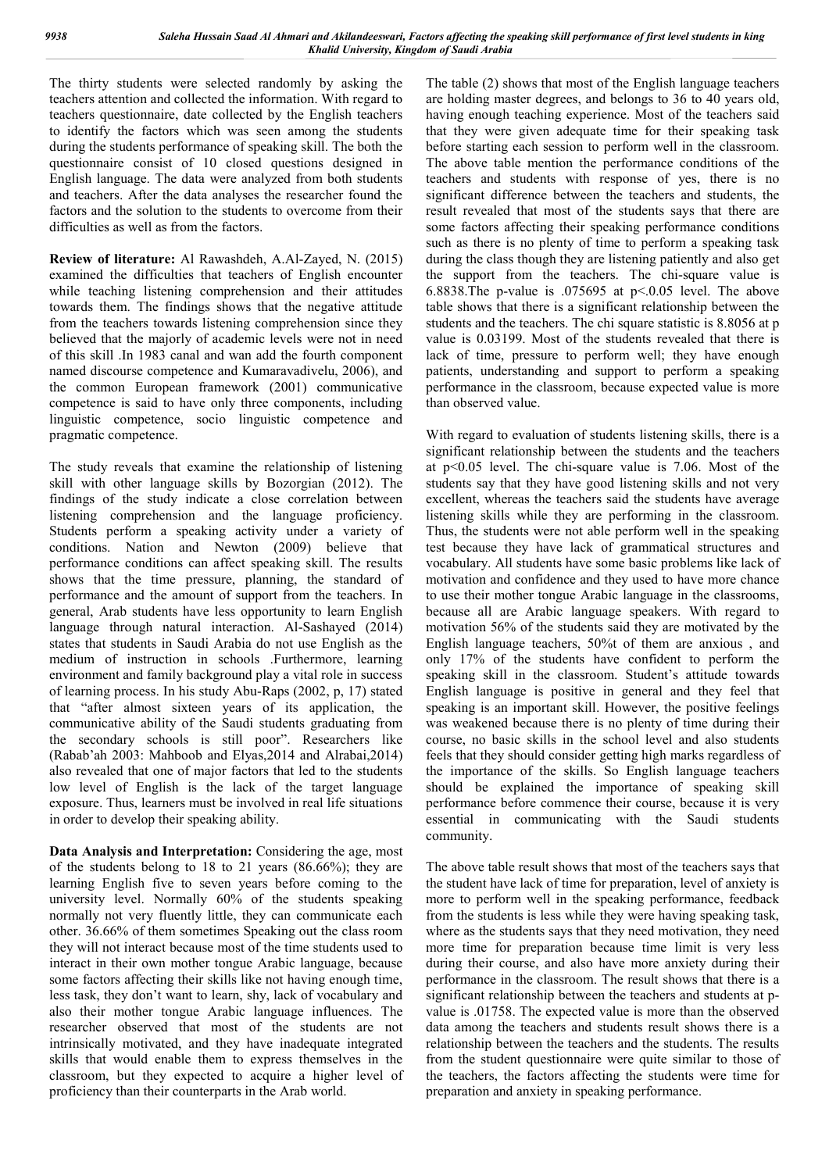The thirty students were selected randomly by asking the teachers attention and collected the information. With regard to teachers questionnaire, date collected by the English teachers to identify the factors which was seen among the students during the students performance of speaking skill. The both the questionnaire consist of 10 closed questions designed in English language. The data were analyzed from both students and teachers. After the data analyses the researcher found the factors and the solution to the students to overcome from their difficulties as well as from the factors.

**Review of literature:** Al Rawashdeh, A.Al-Zayed, N. (2015) examined the difficulties that teachers of English encounter while teaching listening comprehension and their attitudes towards them. The findings shows that the negative attitude from the teachers towards listening comprehension since they believed that the majorly of academic levels were not in need of this skill .In 1983 canal and wan add the fourth component named discourse competence and Kumaravadivelu, 2006), and the common European framework (2001) communicative competence is said to have only three components, including linguistic competence, socio linguistic competence and pragmatic competence.

The study reveals that examine the relationship of listening skill with other language skills by Bozorgian (2012). The findings of the study indicate a close correlation between listening comprehension and the language proficiency. Students perform a speaking activity under a variety of conditions. Nation and Newton (2009) believe that performance conditions can affect speaking skill. The results shows that the time pressure, planning, the standard of performance and the amount of support from the teachers. In general, Arab students have less opportunity to learn English language through natural interaction. Al-Sashayed (2014) states that students in Saudi Arabia do not use English as the medium of instruction in schools .Furthermore, learning environment and family background play a vital role in success of learning process. In his study Abu-Raps (2002, p, 17) stated that "after almost sixteen years of its application, the communicative ability of the Saudi students graduating from the secondary schools is still poor". Researchers like (Rabab'ah 2003: Mahboob and Elyas,2014 and Alrabai,2014) also revealed that one of major factors that led to the students low level of English is the lack of the target language exposure. Thus, learners must be involved in real life situations in order to develop their speaking ability.

**Data Analysis and Interpretation:** Considering the age, most of the students belong to 18 to 21 years (86.66%); they are learning English five to seven years before coming to the university level. Normally 60% of the students speaking normally not very fluently little, they can communicate each other. 36.66% of them sometimes Speaking out the class room they will not interact because most of the time students used to interact in their own mother tongue Arabic language, because some factors affecting their skills like not having enough time, less task, they don't want to learn, shy, lack of vocabulary and also their mother tongue Arabic language influences. The researcher observed that most of the students are not intrinsically motivated, and they have inadequate integrated skills that would enable them to express themselves in the classroom, but they expected to acquire a higher level of proficiency than their counterparts in the Arab world.

The table (2) shows that most of the English language teachers are holding master degrees, and belongs to 36 to 40 years old, having enough teaching experience. Most of the teachers said that they were given adequate time for their speaking task before starting each session to perform well in the classroom. The above table mention the performance conditions of the teachers and students with response of yes, there is no significant difference between the teachers and students, the result revealed that most of the students says that there are some factors affecting their speaking performance conditions such as there is no plenty of time to perform a speaking task during the class though they are listening patiently and also get the support from the teachers. The chi-square value is 6.8838.The p-value is .075695 at p<.0.05 level. The above table shows that there is a significant relationship between the students and the teachers. The chi square statistic is 8.8056 at p value is 0.03199. Most of the students revealed that there is lack of time, pressure to perform well; they have enough patients, understanding and support to perform a speaking performance in the classroom, because expected value is more than observed value.

With regard to evaluation of students listening skills, there is a significant relationship between the students and the teachers at p<0.05 level. The chi-square value is 7.06. Most of the students say that they have good listening skills and not very excellent, whereas the teachers said the students have average listening skills while they are performing in the classroom. Thus, the students were not able perform well in the speaking test because they have lack of grammatical structures and vocabulary. All students have some basic problems like lack of motivation and confidence and they used to have more chance to use their mother tongue Arabic language in the classrooms, because all are Arabic language speakers. With regard to motivation 56% of the students said they are motivated by the English language teachers, 50%t of them are anxious , and only 17% of the students have confident to perform the speaking skill in the classroom. Student's attitude towards English language is positive in general and they feel that speaking is an important skill. However, the positive feelings was weakened because there is no plenty of time during their course, no basic skills in the school level and also students feels that they should consider getting high marks regardless of the importance of the skills. So English language teachers should be explained the importance of speaking skill performance before commence their course, because it is very essential in communicating with the Saudi students community.

The above table result shows that most of the teachers says that the student have lack of time for preparation, level of anxiety is more to perform well in the speaking performance, feedback from the students is less while they were having speaking task, where as the students says that they need motivation, they need more time for preparation because time limit is very less during their course, and also have more anxiety during their performance in the classroom. The result shows that there is a significant relationship between the teachers and students at pvalue is .01758. The expected value is more than the observed data among the teachers and students result shows there is a relationship between the teachers and the students. The results from the student questionnaire were quite similar to those of the teachers, the factors affecting the students were time for preparation and anxiety in speaking performance.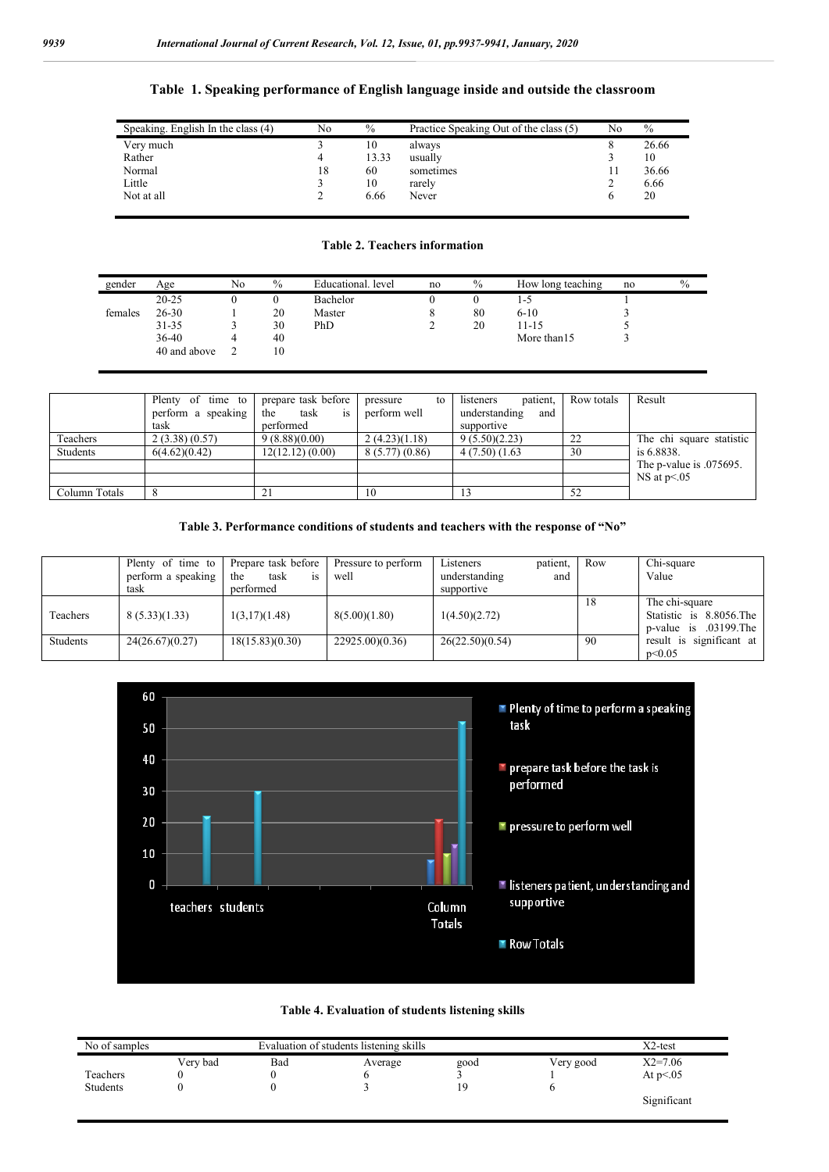### **Table 1. Speaking performance of English language inside and outside the classroom**

| Speaking. English In the class (4) | No | $\%$  | Practice Speaking Out of the class (5) | No | $\%$  |
|------------------------------------|----|-------|----------------------------------------|----|-------|
| Very much                          |    | 10    | always                                 |    | 26.66 |
| Rather                             |    | 13.33 | usually                                |    | 10    |
| Normal                             | 18 | 60    | sometimes                              |    | 36.66 |
| Little                             |    | 10    | rarely                                 |    | 6.66  |
| Not at all                         |    | 6.66  | Never                                  |    | 20    |
|                                    |    |       |                                        |    |       |

#### **Table 2. Teachers information**

| gender  | Age          | No | $\%$ | Educational, level | no | $\%$ | How long teaching | no | $\%$ |
|---------|--------------|----|------|--------------------|----|------|-------------------|----|------|
|         | $20 - 25$    |    |      | Bachelor           |    |      | 1-5               |    |      |
| females | $26 - 30$    |    | 20   | Master             |    | 80   | $6 - 10$          |    |      |
|         | $31 - 35$    |    | 30   | PhD                |    | 20   | $11 - 15$         |    |      |
|         | 36-40        |    | 40   |                    |    |      | More than 15      |    |      |
|         | 40 and above |    | 10   |                    |    |      |                   |    |      |

|               | Plenty of time to  | prepare task before      | pressure<br>to | listeners<br>patient. | Row totals | Result                   |
|---------------|--------------------|--------------------------|----------------|-----------------------|------------|--------------------------|
|               | perform a speaking | task<br>the<br><i>is</i> | perform well   | understanding<br>and  |            |                          |
|               | task               | performed                |                | supportive            |            |                          |
| Teachers      | 2(3.38)(0.57)      | 9(8.88)(0.00)            | 2(4.23)(1.18)  | 9(5.50)(2.23)         | 22         | The chi square statistic |
| Students      | 6(4.62)(0.42)      | 12(12.12)(0.00)          | 8(5.77)(0.86)  | 4(7.50)(1.63)         | 30         | is 6.8838.               |
|               |                    |                          |                |                       |            | The p-value is .075695.  |
|               |                    |                          |                |                       |            | NS at p < 0.05           |
| Column Totals |                    |                          | 10             |                       | 52         |                          |

## **Table 3. Performance conditions of students and teachers with the response of "No"**

|          | Plenty of time to<br>perform a speaking<br>task | Prepare task before<br>task<br>the<br><b>1S</b><br>performed | Pressure to perform<br>well | Listeners<br>understanding<br>supportive | patient,<br>and | Row | Chi-square<br>Value                                                  |
|----------|-------------------------------------------------|--------------------------------------------------------------|-----------------------------|------------------------------------------|-----------------|-----|----------------------------------------------------------------------|
| Teachers | 8(5.33)(1.33)                                   | 1(3,17)(1.48)                                                | 8(5.00)(1.80)               | 1(4.50)(2.72)                            |                 | 18  | The chi-square<br>Statistic is 8.8056. The<br>p-value is .03199. The |
| Students | 24(26.67)(0.27)                                 | 18(15.83)(0.30)                                              | 22925.00(0.36)              | 26(22.50)(0.54)                          |                 | -90 | result is significant at<br>$p \le 0.05$                             |





| No of samples |          | $X2$ -test |         |      |           |             |
|---------------|----------|------------|---------|------|-----------|-------------|
|               | Verv bad | Bad        | Average | good | Very good | $X2=7.06$   |
| Teachers      |          |            |         |      |           | At $p<0.05$ |
| Students      |          |            |         | 19   |           |             |
|               |          |            |         |      |           | Significant |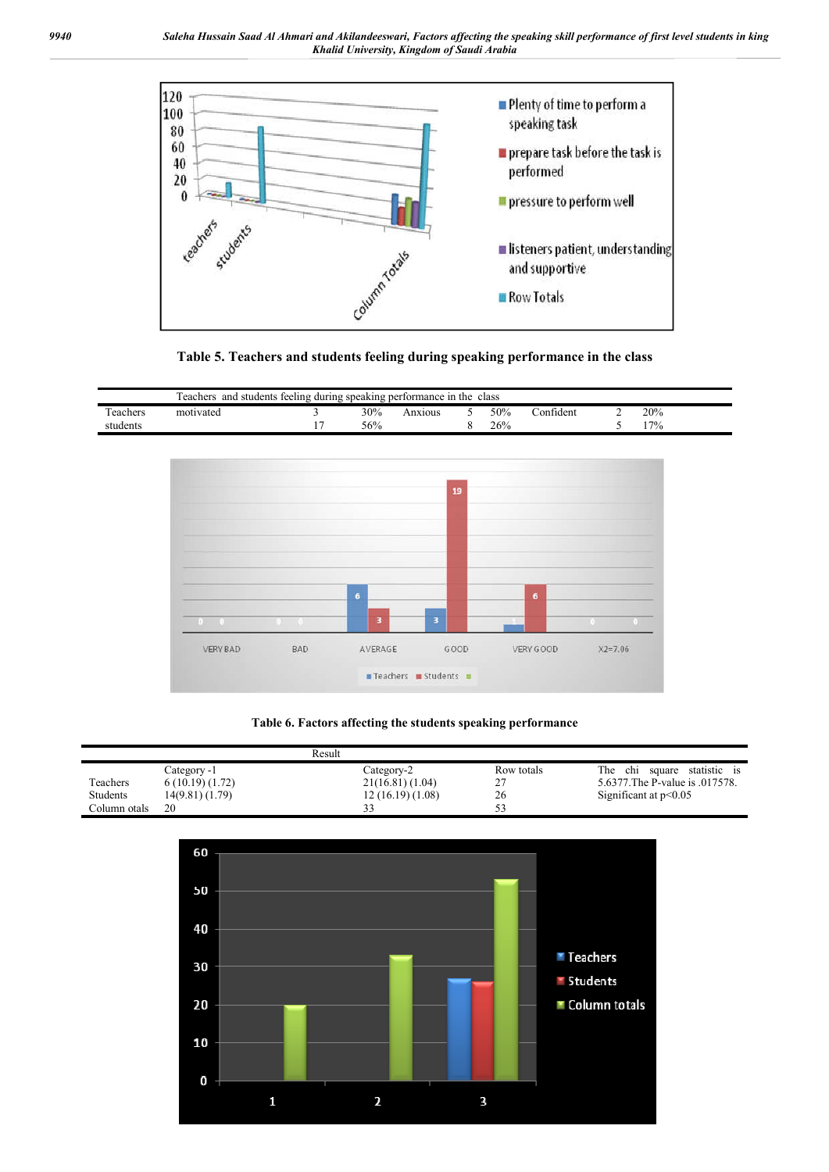



| and students feeling during speaking performance in the class<br>eachers |           |  |     |        |  |     |           |  |       |
|--------------------------------------------------------------------------|-----------|--|-----|--------|--|-----|-----------|--|-------|
| $\overline{\phantom{a}}$<br>eachers                                      | motivated |  | 30% | nx10us |  | 50% | .onfident |  | 20%   |
| students                                                                 |           |  | 56% |        |  | 26% |           |  | $7\%$ |



### **Table 6. Factors affecting the students speaking performance**

|                 |                 | Result          |            |                                   |
|-----------------|-----------------|-----------------|------------|-----------------------------------|
|                 | Category -1     | Category-2      | Row totals | The<br>chi square<br>statistic is |
| Teachers        | 6(10.19)(1.72)  | 21(16.81)(1.04) |            | 5.6377. The P-value is 0.017578.  |
| <b>Students</b> | 14(9.81) (1.79) | 12(16.19)(1.08) | 26         | Significant at $p<0.05$           |
| Column otals    | 20              |                 |            |                                   |